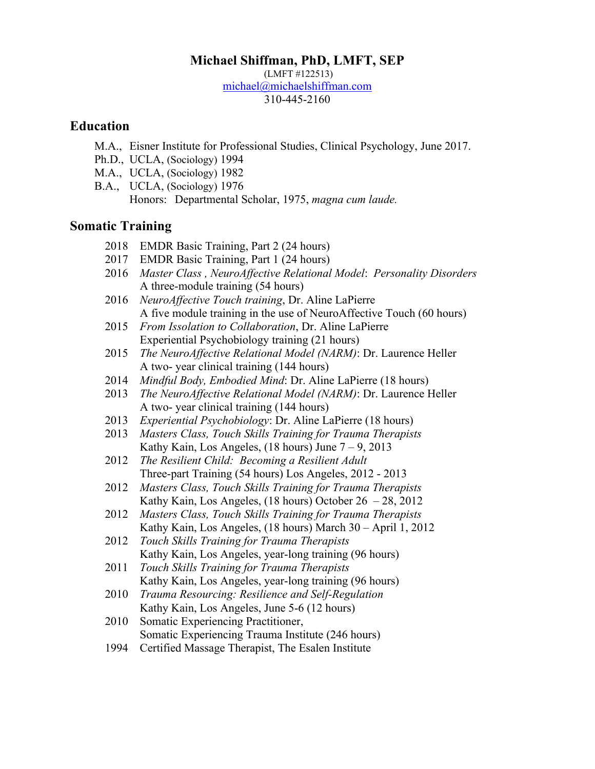# **Michael Shiffman, PhD, LMFT, SEP**

(LMFT #122513) michael@michaelshiffman.com 310-445-2160

# **Education**

- M.A., Eisner Institute for Professional Studies, Clinical Psychology, June 2017.
- Ph.D., UCLA, (Sociology) 1994
- M.A., UCLA, (Sociology) 1982
- B.A., UCLA, (Sociology) 1976 Honors: Departmental Scholar, 1975, *magna cum laude.*

# **Somatic Training**

- 2018 EMDR Basic Training, Part 2 (24 hours)
- 2017 EMDR Basic Training, Part 1 (24 hours)
- 2016 *Master Class , NeuroAffective Relational Model*: *Personality Disorders* A three-module training (54 hours)
- 2016 *NeuroAffective Touch training*, Dr. Aline LaPierre A five module training in the use of NeuroAffective Touch (60 hours)
- 2015 *From Issolation to Collaboration*, Dr. Aline LaPierre Experiential Psychobiology training (21 hours)
- 2015 *The NeuroAffective Relational Model (NARM)*: Dr. Laurence Heller A two- year clinical training (144 hours)
- 2014 *Mindful Body, Embodied Mind*: Dr. Aline LaPierre (18 hours)
- 2013 *The NeuroAffective Relational Model (NARM)*: Dr. Laurence Heller A two- year clinical training (144 hours)
- 2013 *Experiential Psychobiology*: Dr. Aline LaPierre (18 hours)
- 2013 *Masters Class, Touch Skills Training for Trauma Therapists* Kathy Kain, Los Angeles,  $(18 \text{ hours})$  June  $7 - 9$ ,  $2013$
- 2012 *The Resilient Child: Becoming a Resilient Adult* Three-part Training (54 hours) Los Angeles, 2012 - 2013
- 2012 *Masters Class, Touch Skills Training for Trauma Therapists* Kathy Kain, Los Angeles, (18 hours) October 26 – 28, 2012
- 2012 *Masters Class, Touch Skills Training for Trauma Therapists* Kathy Kain, Los Angeles, (18 hours) March 30 – April 1, 2012
- 2012 *Touch Skills Training for Trauma Therapists* Kathy Kain, Los Angeles, year-long training (96 hours)
- 2011 *Touch Skills Training for Trauma Therapists* Kathy Kain, Los Angeles, year-long training (96 hours)
- 2010 *Trauma Resourcing: Resilience and Self-Regulation* Kathy Kain, Los Angeles, June 5-6 (12 hours)
- 2010 Somatic Experiencing Practitioner, Somatic Experiencing Trauma Institute (246 hours)
- 1994 Certified Massage Therapist, The Esalen Institute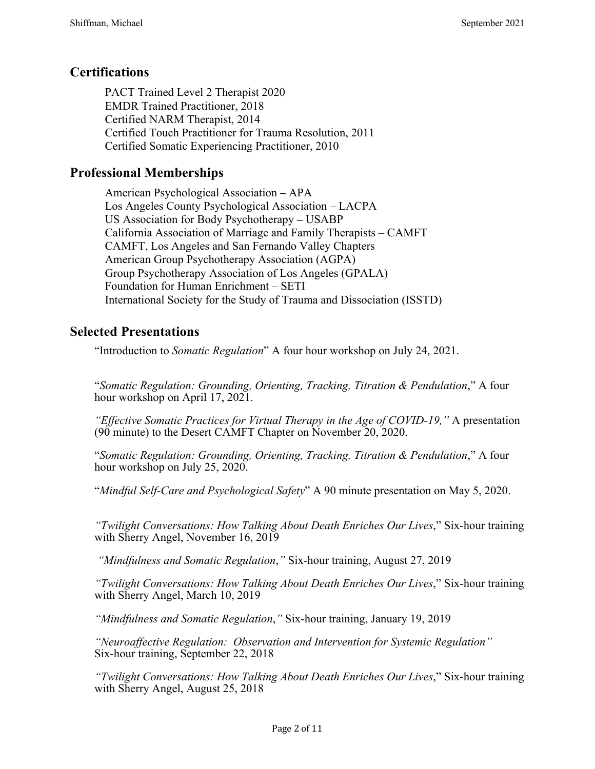# **Certifications**

PACT Trained Level 2 Therapist 2020 EMDR Trained Practitioner, 2018 Certified NARM Therapist, 2014 Certified Touch Practitioner for Trauma Resolution, 2011 Certified Somatic Experiencing Practitioner, 2010

# **Professional Memberships**

American Psychological Association **–** APA Los Angeles County Psychological Association – LACPA US Association for Body Psychotherapy **–** USABP California Association of Marriage and Family Therapists – CAMFT CAMFT, Los Angeles and San Fernando Valley Chapters American Group Psychotherapy Association (AGPA) Group Psychotherapy Association of Los Angeles (GPALA) Foundation for Human Enrichment – SETI International Society for the Study of Trauma and Dissociation (ISSTD)

# **Selected Presentations**

"Introduction to *Somatic Regulation*" A four hour workshop on July 24, 2021.

"*Somatic Regulation: Grounding, Orienting, Tracking, Titration & Pendulation*," A four hour workshop on April 17, 2021.

*"Effective Somatic Practices for Virtual Therapy in the Age of COVID-19,"* A presentation (90 minute) to the Desert CAMFT Chapter on November 20, 2020.

"*Somatic Regulation: Grounding, Orienting, Tracking, Titration & Pendulation*," A four hour workshop on July 25, 2020.

"*Mindful Self-Care and Psychological Safety*" A 90 minute presentation on May 5, 2020.

*"Twilight Conversations: How Talking About Death Enriches Our Lives*," Six-hour training with Sherry Angel, November 16, 2019

*"Mindfulness and Somatic Regulation*,*"* Six-hour training, August 27, 2019

*"Twilight Conversations: How Talking About Death Enriches Our Lives*," Six-hour training with Sherry Angel, March 10, 2019

*"Mindfulness and Somatic Regulation*,*"* Six-hour training, January 19, 2019

*"Neuroaffective Regulation: Observation and Intervention for Systemic Regulation"* Six-hour training, September 22, 2018

*"Twilight Conversations: How Talking About Death Enriches Our Lives*," Six-hour training with Sherry Angel, August 25, 2018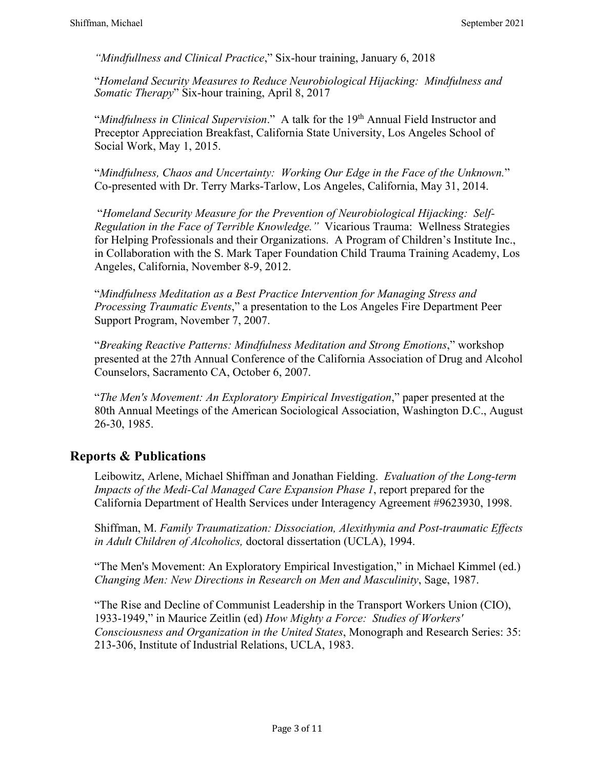*"Mindfullness and Clinical Practice*," Six-hour training, January 6, 2018

"*Homeland Security Measures to Reduce Neurobiological Hijacking: Mindfulness and Somatic Therapy*" Six-hour training, April 8, 2017

"*Mindfulness in Clinical Supervision*." A talk for the 19th Annual Field Instructor and Preceptor Appreciation Breakfast, California State University, Los Angeles School of Social Work, May 1, 2015.

"*Mindfulness, Chaos and Uncertainty: Working Our Edge in the Face of the Unknown.*" Co-presented with Dr. Terry Marks-Tarlow, Los Angeles, California, May 31, 2014.

"*Homeland Security Measure for the Prevention of Neurobiological Hijacking: Self-Regulation in the Face of Terrible Knowledge."* Vicarious Trauma: Wellness Strategies for Helping Professionals and their Organizations. A Program of Children's Institute Inc., in Collaboration with the S. Mark Taper Foundation Child Trauma Training Academy, Los Angeles, California, November 8-9, 2012.

"*Mindfulness Meditation as a Best Practice Intervention for Managing Stress and Processing Traumatic Events*," a presentation to the Los Angeles Fire Department Peer Support Program, November 7, 2007.

"*Breaking Reactive Patterns: Mindfulness Meditation and Strong Emotions*," workshop presented at the 27th Annual Conference of the California Association of Drug and Alcohol Counselors, Sacramento CA, October 6, 2007.

"*The Men's Movement: An Exploratory Empirical Investigation*," paper presented at the 80th Annual Meetings of the American Sociological Association, Washington D.C., August 26-30, 1985.

# **Reports & Publications**

Leibowitz, Arlene, Michael Shiffman and Jonathan Fielding. *Evaluation of the Long-term Impacts of the Medi-Cal Managed Care Expansion Phase 1*, report prepared for the California Department of Health Services under Interagency Agreement #9623930, 1998.

Shiffman, M. *Family Traumatization: Dissociation, Alexithymia and Post-traumatic Effects in Adult Children of Alcoholics,* doctoral dissertation (UCLA), 1994.

"The Men's Movement: An Exploratory Empirical Investigation," in Michael Kimmel (ed.) *Changing Men: New Directions in Research on Men and Masculinity*, Sage, 1987.

"The Rise and Decline of Communist Leadership in the Transport Workers Union (CIO), 1933-1949," in Maurice Zeitlin (ed) *How Mighty a Force: Studies of Workers' Consciousness and Organization in the United States*, Monograph and Research Series: 35: 213-306, Institute of Industrial Relations, UCLA, 1983.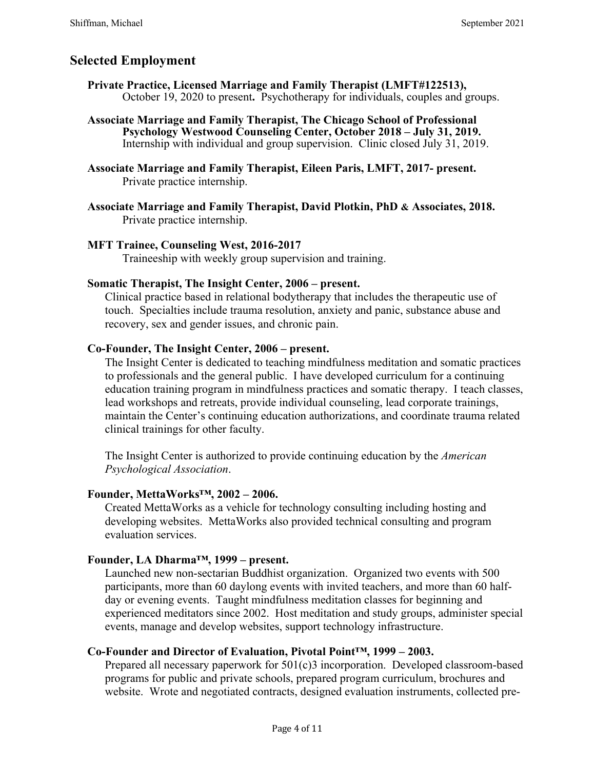# **Selected Employment**

- **Private Practice, Licensed Marriage and Family Therapist (LMFT#122513),** October 19, 2020 to present**.** Psychotherapy for individuals, couples and groups.
- **Associate Marriage and Family Therapist, The Chicago School of Professional Psychology Westwood Counseling Center, October 2018 – July 31, 2019.** Internship with individual and group supervision. Clinic closed July 31, 2019.
- **Associate Marriage and Family Therapist, Eileen Paris, LMFT, 2017- present.** Private practice internship.
- **Associate Marriage and Family Therapist, David Plotkin, PhD & Associates, 2018.** Private practice internship.

## **MFT Trainee, Counseling West, 2016-2017**

Traineeship with weekly group supervision and training.

#### **Somatic Therapist, The Insight Center, 2006 – present.**

Clinical practice based in relational bodytherapy that includes the therapeutic use of touch. Specialties include trauma resolution, anxiety and panic, substance abuse and recovery, sex and gender issues, and chronic pain.

## **Co-Founder, The Insight Center, 2006 – present.**

The Insight Center is dedicated to teaching mindfulness meditation and somatic practices to professionals and the general public. I have developed curriculum for a continuing education training program in mindfulness practices and somatic therapy. I teach classes, lead workshops and retreats, provide individual counseling, lead corporate trainings, maintain the Center's continuing education authorizations, and coordinate trauma related clinical trainings for other faculty.

The Insight Center is authorized to provide continuing education by the *American Psychological Association*.

## **Founder, MettaWorks™, 2002 – 2006.**

Created MettaWorks as a vehicle for technology consulting including hosting and developing websites. MettaWorks also provided technical consulting and program evaluation services.

## **Founder, LA Dharma™, 1999 – present.**

Launched new non-sectarian Buddhist organization. Organized two events with 500 participants, more than 60 daylong events with invited teachers, and more than 60 halfday or evening events. Taught mindfulness meditation classes for beginning and experienced meditators since 2002. Host meditation and study groups, administer special events, manage and develop websites, support technology infrastructure.

## **Co-Founder and Director of Evaluation, Pivotal Point™, 1999 – 2003.**

Prepared all necessary paperwork for 501(c)3 incorporation. Developed classroom-based programs for public and private schools, prepared program curriculum, brochures and website. Wrote and negotiated contracts, designed evaluation instruments, collected pre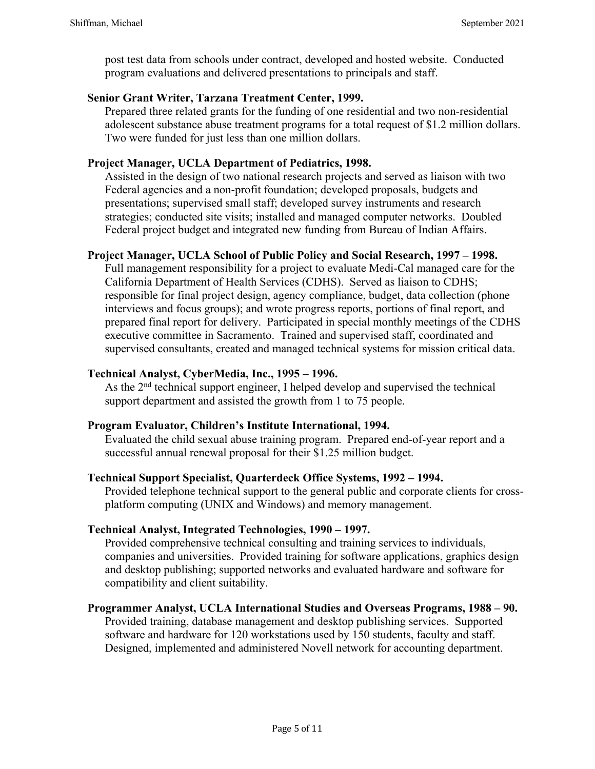post test data from schools under contract, developed and hosted website. Conducted program evaluations and delivered presentations to principals and staff.

# **Senior Grant Writer, Tarzana Treatment Center, 1999.**

Prepared three related grants for the funding of one residential and two non-residential adolescent substance abuse treatment programs for a total request of \$1.2 million dollars. Two were funded for just less than one million dollars.

# **Project Manager, UCLA Department of Pediatrics, 1998.**

Assisted in the design of two national research projects and served as liaison with two Federal agencies and a non-profit foundation; developed proposals, budgets and presentations; supervised small staff; developed survey instruments and research strategies; conducted site visits; installed and managed computer networks. Doubled Federal project budget and integrated new funding from Bureau of Indian Affairs.

## **Project Manager, UCLA School of Public Policy and Social Research, 1997 – 1998.**

Full management responsibility for a project to evaluate Medi-Cal managed care for the California Department of Health Services (CDHS). Served as liaison to CDHS; responsible for final project design, agency compliance, budget, data collection (phone interviews and focus groups); and wrote progress reports, portions of final report, and prepared final report for delivery. Participated in special monthly meetings of the CDHS executive committee in Sacramento. Trained and supervised staff, coordinated and supervised consultants, created and managed technical systems for mission critical data.

## **Technical Analyst, CyberMedia, Inc., 1995 – 1996.**

As the 2<sup>nd</sup> technical support engineer, I helped develop and supervised the technical support department and assisted the growth from 1 to 75 people.

## **Program Evaluator, Children's Institute International, 1994.**

Evaluated the child sexual abuse training program. Prepared end-of-year report and a successful annual renewal proposal for their \$1.25 million budget.

## **Technical Support Specialist, Quarterdeck Office Systems, 1992 – 1994.**

Provided telephone technical support to the general public and corporate clients for crossplatform computing (UNIX and Windows) and memory management.

## **Technical Analyst, Integrated Technologies, 1990 – 1997.**

Provided comprehensive technical consulting and training services to individuals, companies and universities. Provided training for software applications, graphics design and desktop publishing; supported networks and evaluated hardware and software for compatibility and client suitability.

## **Programmer Analyst, UCLA International Studies and Overseas Programs, 1988 – 90.**

Provided training, database management and desktop publishing services. Supported software and hardware for 120 workstations used by 150 students, faculty and staff. Designed, implemented and administered Novell network for accounting department.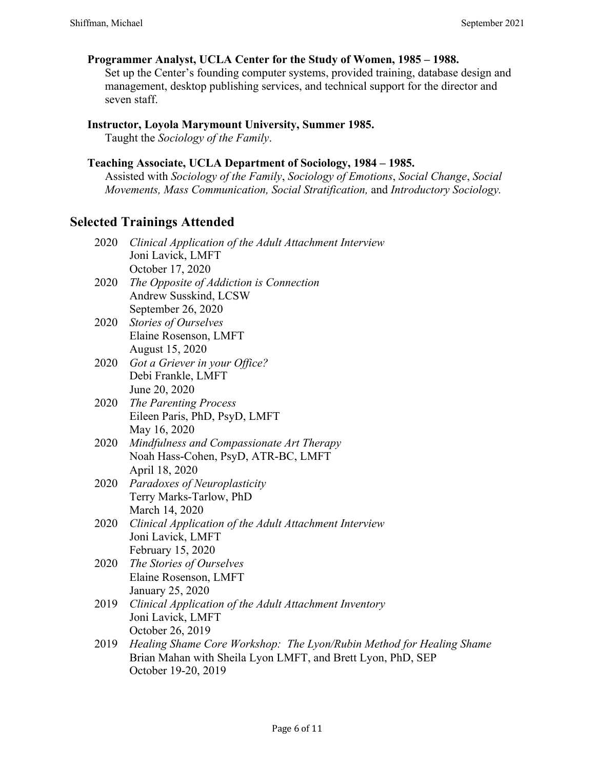## **Programmer Analyst, UCLA Center for the Study of Women, 1985 – 1988.**

Set up the Center's founding computer systems, provided training, database design and management, desktop publishing services, and technical support for the director and seven staff.

#### **Instructor, Loyola Marymount University, Summer 1985.**

Taught the *Sociology of the Family*.

## **Teaching Associate, UCLA Department of Sociology, 1984 – 1985.**

Assisted with *Sociology of the Family*, *Sociology of Emotions*, *Social Change*, *Social Movements, Mass Communication, Social Stratification,* and *Introductory Sociology.*

# **Selected Trainings Attended**

| 2020 Clinical Application of the Adult Attachment Interview |
|-------------------------------------------------------------|
| Joni Lavick, LMFT                                           |
| October 17, 2020                                            |

- 2020 *The Opposite of Addiction is Connection* Andrew Susskind, LCSW September 26, 2020
- 2020 *Stories of Ourselves* Elaine Rosenson, LMFT August 15, 2020
- 2020 *Got a Griever in your Office?* Debi Frankle, LMFT June 20, 2020
- 2020 *The Parenting Process* Eileen Paris, PhD, PsyD, LMFT May 16, 2020
- 2020 *Mindfulness and Compassionate Art Therapy* Noah Hass-Cohen, PsyD, ATR-BC, LMFT April 18, 2020
- 2020 *Paradoxes of Neuroplasticity* Terry Marks-Tarlow, PhD March 14, 2020
- 2020 *Clinical Application of the Adult Attachment Interview* Joni Lavick, LMFT February 15, 2020
- 2020 *The Stories of Ourselves* Elaine Rosenson, LMFT January 25, 2020
- 2019 *Clinical Application of the Adult Attachment Inventory* Joni Lavick, LMFT October 26, 2019
- 2019 *Healing Shame Core Workshop: The Lyon/Rubin Method for Healing Shame* Brian Mahan with Sheila Lyon LMFT, and Brett Lyon, PhD, SEP October 19-20, 2019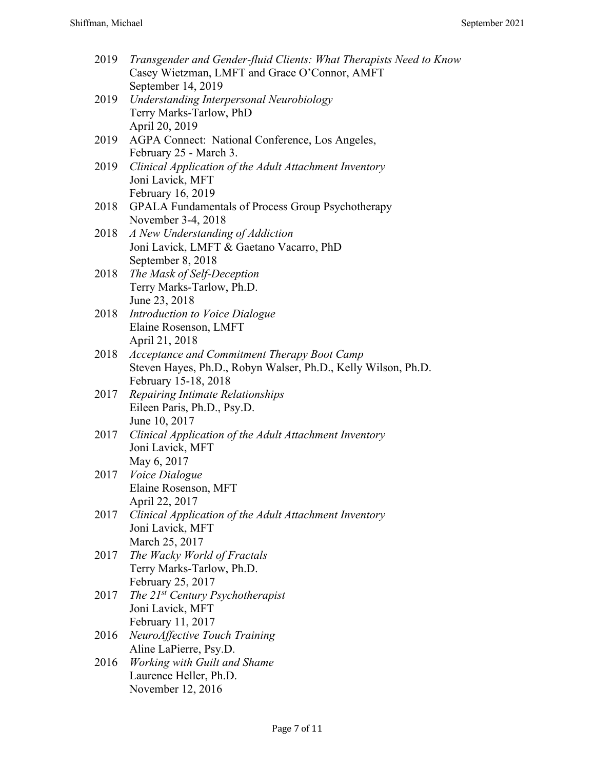| 2019 | Transgender and Gender-fluid Clients: What Therapists Need to Know<br>Casey Wietzman, LMFT and Grace O'Connor, AMFT |
|------|---------------------------------------------------------------------------------------------------------------------|
|      | September 14, 2019                                                                                                  |
| 2019 | Understanding Interpersonal Neurobiology                                                                            |
|      | Terry Marks-Tarlow, PhD                                                                                             |
|      | April 20, 2019                                                                                                      |
| 2019 | AGPA Connect: National Conference, Los Angeles,                                                                     |
|      | February 25 - March 3.                                                                                              |
| 2019 | Clinical Application of the Adult Attachment Inventory                                                              |
|      | Joni Lavick, MFT                                                                                                    |
|      | February 16, 2019                                                                                                   |
| 2018 | <b>GPALA Fundamentals of Process Group Psychotherapy</b>                                                            |
|      | November 3-4, 2018                                                                                                  |
| 2018 | A New Understanding of Addiction                                                                                    |
|      | Joni Lavick, LMFT & Gaetano Vacarro, PhD                                                                            |
|      | September 8, 2018                                                                                                   |
| 2018 | The Mask of Self-Deception                                                                                          |
|      | Terry Marks-Tarlow, Ph.D.                                                                                           |
|      | June 23, 2018                                                                                                       |
| 2018 | Introduction to Voice Dialogue                                                                                      |
|      | Elaine Rosenson, LMFT                                                                                               |
|      | April 21, 2018                                                                                                      |
| 2018 | Acceptance and Commitment Therapy Boot Camp                                                                         |
|      | Steven Hayes, Ph.D., Robyn Walser, Ph.D., Kelly Wilson, Ph.D.                                                       |
|      | February 15-18, 2018                                                                                                |
| 2017 | Repairing Intimate Relationships                                                                                    |
|      | Eileen Paris, Ph.D., Psy.D.                                                                                         |
|      |                                                                                                                     |
|      | June 10, 2017                                                                                                       |
| 2017 | Clinical Application of the Adult Attachment Inventory                                                              |
|      | Joni Lavick, MFT                                                                                                    |
|      | May 6, 2017                                                                                                         |
| 2017 | Voice Dialogue                                                                                                      |
|      | Elaine Rosenson, MFT                                                                                                |
|      | April 22, 2017                                                                                                      |
| 2017 | Clinical Application of the Adult Attachment Inventory                                                              |
|      | Joni Lavick, MFT                                                                                                    |
|      | March 25, 2017                                                                                                      |
| 2017 | The Wacky World of Fractals                                                                                         |
|      | Terry Marks-Tarlow, Ph.D.                                                                                           |
|      | February 25, 2017                                                                                                   |
| 2017 | The $21^{st}$ Century Psychotherapist                                                                               |
|      | Joni Lavick, MFT                                                                                                    |
|      | February 11, 2017                                                                                                   |
| 2016 | NeuroAffective Touch Training                                                                                       |
|      | Aline LaPierre, Psy.D.                                                                                              |
| 2016 | <b>Working with Guilt and Shame</b>                                                                                 |
|      | Laurence Heller, Ph.D.                                                                                              |
|      | November 12, 2016                                                                                                   |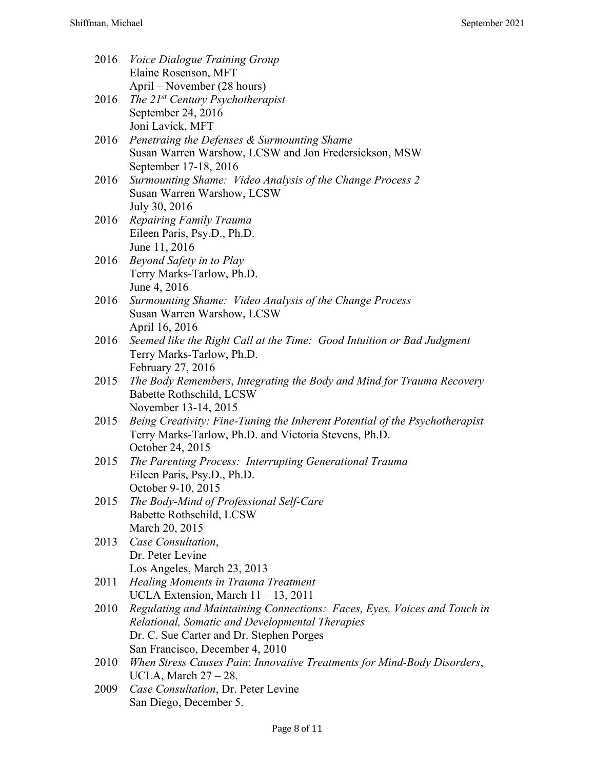| 2016 | <i>Voice Dialogue Training Group</i>                                                                                        |
|------|-----------------------------------------------------------------------------------------------------------------------------|
|      | Elaine Rosenson, MFT                                                                                                        |
|      | April – November (28 hours)                                                                                                 |
| 2016 | The $21^{st}$ Century Psychotherapist                                                                                       |
|      | September 24, 2016                                                                                                          |
|      | Joni Lavick, MFT                                                                                                            |
| 2016 | Penetraing the Defenses & Surmounting Shame                                                                                 |
|      | Susan Warren Warshow, LCSW and Jon Fredersickson, MSW                                                                       |
|      | September 17-18, 2016                                                                                                       |
| 2016 | Surmounting Shame: Video Analysis of the Change Process 2                                                                   |
|      | Susan Warren Warshow, LCSW                                                                                                  |
|      | July 30, 2016                                                                                                               |
| 2016 | Repairing Family Trauma                                                                                                     |
|      | Eileen Paris, Psy.D., Ph.D.                                                                                                 |
|      | June 11, 2016                                                                                                               |
| 2016 | Beyond Safety in to Play                                                                                                    |
|      | Terry Marks-Tarlow, Ph.D.                                                                                                   |
|      | June 4, 2016                                                                                                                |
| 2016 | Surmounting Shame: Video Analysis of the Change Process                                                                     |
|      | Susan Warren Warshow, LCSW                                                                                                  |
|      | April 16, 2016                                                                                                              |
| 2016 | Seemed like the Right Call at the Time: Good Intuition or Bad Judgment                                                      |
|      | Terry Marks-Tarlow, Ph.D.                                                                                                   |
|      | February 27, 2016                                                                                                           |
| 2015 | The Body Remembers, Integrating the Body and Mind for Trauma Recovery                                                       |
|      | Babette Rothschild, LCSW                                                                                                    |
|      | November 13-14, 2015                                                                                                        |
| 2015 | Being Creativity: Fine-Tuning the Inherent Potential of the Psychotherapist                                                 |
|      | Terry Marks-Tarlow, Ph.D. and Victoria Stevens, Ph.D.                                                                       |
|      | October 24, 2015                                                                                                            |
| 2015 | The Parenting Process: Interrupting Generational Trauma                                                                     |
|      | Eileen Paris, Psy.D., Ph.D.                                                                                                 |
|      | October 9-10, 2015                                                                                                          |
| 2015 | The Body-Mind of Professional Self-Care                                                                                     |
|      | Babette Rothschild, LCSW                                                                                                    |
|      | March 20, 2015                                                                                                              |
| 2013 | Case Consultation,                                                                                                          |
|      | Dr. Peter Levine                                                                                                            |
|      | Los Angeles, March 23, 2013                                                                                                 |
| 2011 | Healing Moments in Trauma Treatment                                                                                         |
| 2010 | UCLA Extension, March $11 - 13$ , 2011                                                                                      |
|      | Regulating and Maintaining Connections: Faces, Eyes, Voices and Touch in<br>Relational, Somatic and Developmental Therapies |
|      | Dr. C. Sue Carter and Dr. Stephen Porges                                                                                    |
|      | San Francisco, December 4, 2010                                                                                             |
| 2010 | When Stress Causes Pain: Innovative Treatments for Mind-Body Disorders,                                                     |
|      | UCLA, March $27 - 28$ .                                                                                                     |
| 2009 | Case Consultation, Dr. Peter Levine                                                                                         |
|      | San Diego, December 5.                                                                                                      |
|      |                                                                                                                             |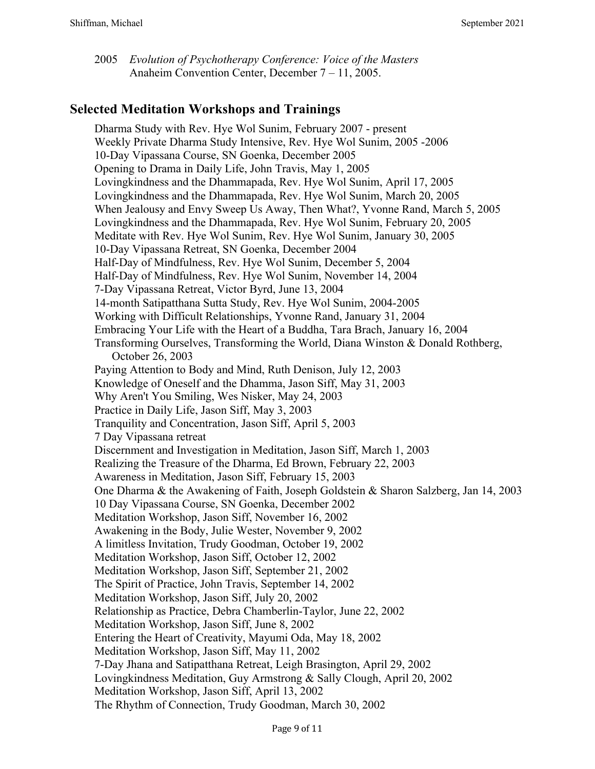2005 *Evolution of Psychotherapy Conference: Voice of the Masters* Anaheim Convention Center, December 7 – 11, 2005.

# **Selected Meditation Workshops and Trainings**

Dharma Study with Rev. Hye Wol Sunim, February 2007 - present Weekly Private Dharma Study Intensive, Rev. Hye Wol Sunim, 2005 -2006 10-Day Vipassana Course, SN Goenka, December 2005 Opening to Drama in Daily Life, John Travis, May 1, 2005 Lovingkindness and the Dhammapada, Rev. Hye Wol Sunim, April 17, 2005 Lovingkindness and the Dhammapada, Rev. Hye Wol Sunim, March 20, 2005 When Jealousy and Envy Sweep Us Away, Then What?, Yvonne Rand, March 5, 2005 Lovingkindness and the Dhammapada, Rev. Hye Wol Sunim, February 20, 2005 Meditate with Rev. Hye Wol Sunim, Rev. Hye Wol Sunim, January 30, 2005 10-Day Vipassana Retreat, SN Goenka, December 2004 Half-Day of Mindfulness, Rev. Hye Wol Sunim, December 5, 2004 Half-Day of Mindfulness, Rev. Hye Wol Sunim, November 14, 2004 7-Day Vipassana Retreat, Victor Byrd, June 13, 2004 14-month Satipatthana Sutta Study, Rev. Hye Wol Sunim, 2004-2005 Working with Difficult Relationships, Yvonne Rand, January 31, 2004 Embracing Your Life with the Heart of a Buddha, Tara Brach, January 16, 2004 Transforming Ourselves, Transforming the World, Diana Winston & Donald Rothberg, October 26, 2003 Paying Attention to Body and Mind, Ruth Denison, July 12, 2003 Knowledge of Oneself and the Dhamma, Jason Siff, May 31, 2003 Why Aren't You Smiling, Wes Nisker, May 24, 2003 Practice in Daily Life, Jason Siff, May 3, 2003 Tranquility and Concentration, Jason Siff, April 5, 2003 7 Day Vipassana retreat Discernment and Investigation in Meditation, Jason Siff, March 1, 2003 Realizing the Treasure of the Dharma, Ed Brown, February 22, 2003 Awareness in Meditation, Jason Siff, February 15, 2003 One Dharma & the Awakening of Faith, Joseph Goldstein & Sharon Salzberg, Jan 14, 2003 10 Day Vipassana Course, SN Goenka, December 2002 Meditation Workshop, Jason Siff, November 16, 2002 Awakening in the Body, Julie Wester, November 9, 2002 A limitless Invitation, Trudy Goodman, October 19, 2002 Meditation Workshop, Jason Siff, October 12, 2002 Meditation Workshop, Jason Siff, September 21, 2002 The Spirit of Practice, John Travis, September 14, 2002 Meditation Workshop, Jason Siff, July 20, 2002 Relationship as Practice, Debra Chamberlin-Taylor, June 22, 2002 Meditation Workshop, Jason Siff, June 8, 2002 Entering the Heart of Creativity, Mayumi Oda, May 18, 2002 Meditation Workshop, Jason Siff, May 11, 2002 7-Day Jhana and Satipatthana Retreat, Leigh Brasington, April 29, 2002 Lovingkindness Meditation, Guy Armstrong & Sally Clough, April 20, 2002 Meditation Workshop, Jason Siff, April 13, 2002 The Rhythm of Connection, Trudy Goodman, March 30, 2002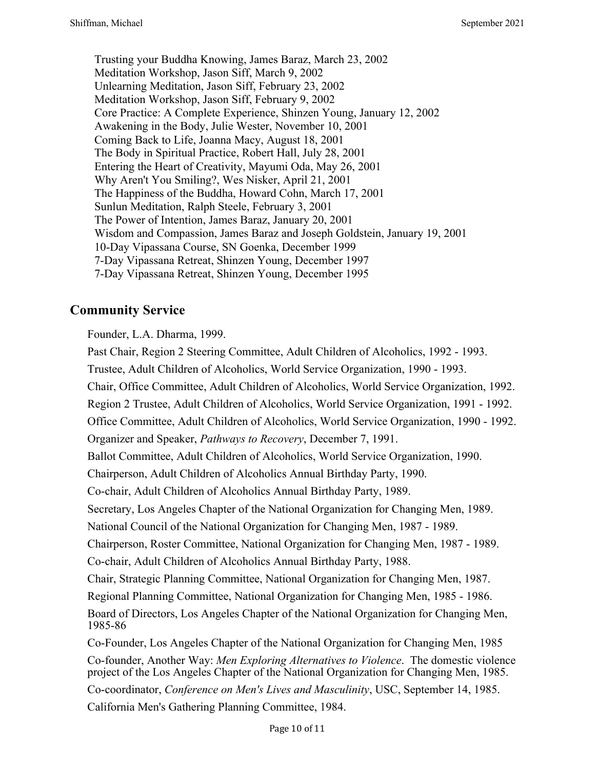Trusting your Buddha Knowing, James Baraz, March 23, 2002 Meditation Workshop, Jason Siff, March 9, 2002 Unlearning Meditation, Jason Siff, February 23, 2002 Meditation Workshop, Jason Siff, February 9, 2002 Core Practice: A Complete Experience, Shinzen Young, January 12, 2002 Awakening in the Body, Julie Wester, November 10, 2001 Coming Back to Life, Joanna Macy, August 18, 2001 The Body in Spiritual Practice, Robert Hall, July 28, 2001 Entering the Heart of Creativity, Mayumi Oda, May 26, 2001 Why Aren't You Smiling?, Wes Nisker, April 21, 2001 The Happiness of the Buddha, Howard Cohn, March 17, 2001 Sunlun Meditation, Ralph Steele, February 3, 2001 The Power of Intention, James Baraz, January 20, 2001 Wisdom and Compassion, James Baraz and Joseph Goldstein, January 19, 2001 10-Day Vipassana Course, SN Goenka, December 1999 7-Day Vipassana Retreat, Shinzen Young, December 1997 7-Day Vipassana Retreat, Shinzen Young, December 1995

# **Community Service**

Founder, L.A. Dharma, 1999.

Past Chair, Region 2 Steering Committee, Adult Children of Alcoholics, 1992 - 1993.

Trustee, Adult Children of Alcoholics, World Service Organization, 1990 - 1993.

Chair, Office Committee, Adult Children of Alcoholics, World Service Organization, 1992.

Region 2 Trustee, Adult Children of Alcoholics, World Service Organization, 1991 - 1992.

Office Committee, Adult Children of Alcoholics, World Service Organization, 1990 - 1992.

Organizer and Speaker, *Pathways to Recovery*, December 7, 1991.

Ballot Committee, Adult Children of Alcoholics, World Service Organization, 1990.

Chairperson, Adult Children of Alcoholics Annual Birthday Party, 1990.

Co-chair, Adult Children of Alcoholics Annual Birthday Party, 1989.

Secretary, Los Angeles Chapter of the National Organization for Changing Men, 1989.

National Council of the National Organization for Changing Men, 1987 - 1989.

Chairperson, Roster Committee, National Organization for Changing Men, 1987 - 1989.

Co-chair, Adult Children of Alcoholics Annual Birthday Party, 1988.

Chair, Strategic Planning Committee, National Organization for Changing Men, 1987.

Regional Planning Committee, National Organization for Changing Men, 1985 - 1986.

Board of Directors, Los Angeles Chapter of the National Organization for Changing Men, 1985-86

Co-Founder, Los Angeles Chapter of the National Organization for Changing Men, 1985

Co-founder, Another Way: *Men Exploring Alternatives to Violence*. The domestic violence project of the Los Angeles Chapter of the National Organization for Changing Men, 1985.

Co-coordinator, *Conference on Men's Lives and Masculinity*, USC, September 14, 1985.

California Men's Gathering Planning Committee, 1984.